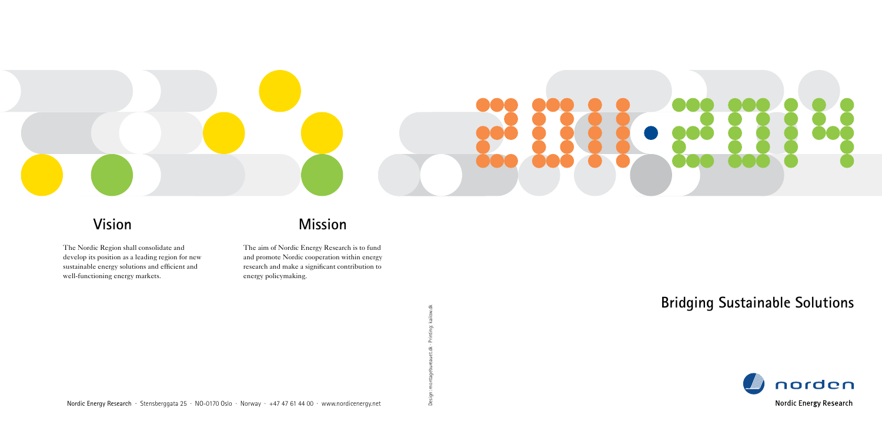### **Vision Mission**

The Nordic Region shall consolidate and develop its position as a leading region for new sustainable energy solutions and efficient and well-functioning energy markets.

> Design: montagebureauet.dk · Printing: kailow.dkරී



The aim of Nordic Energy Research is to fund and promote Nordic cooperation within energy research and make a significant contribution to energy policymaking.

# **Bridging Sustainable Solutions**





Nordic Energy Research